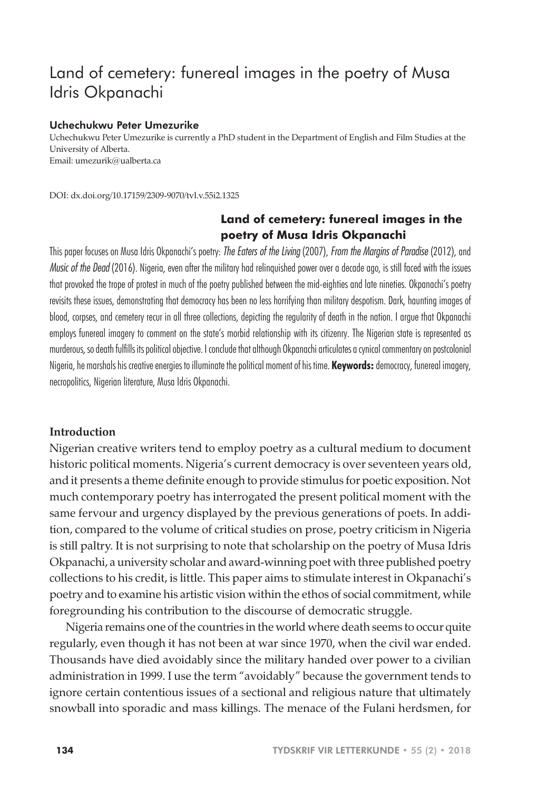# Land of cemetery: funereal images in the poetry of Musa Idris Okpanachi

## Uchechukwu Peter Umezurike

Uchechukwu Peter Umezurike is currently a PhD student in the Department of English and Film Studies at the University of Alberta. Email: umezurik@ualberta.ca

DOI: dx.doi.org/10.17159/2309-9070/tvl.v.55i2.1325

# **Land of cemetery: funereal images in the poetry of Musa Idris Okpanachi**

This paper focuses on Musa Idris Okpanachi's poetry: *The Eaters of the Living* (2007), *From the Margins of Paradise* (2012), and *Music of the Dead* (2016). Nigeria, even after the military had relinquished power over a decade ago, is still faced with the issues that provoked the trope of protest in much of the poetry published between the mid-eighties and late nineties. Okpanachi's poetry revisits these issues, demonstrating that democracy has been no less horrifying than military despotism. Dark, haunting images of blood, corpses, and cemetery recur in all three collections, depicting the regularity of death in the nation. I argue that Okpanachi employs funereal imagery to comment on the state's morbid relationship with its citizenry. The Nigerian state is represented as murderous, so death fulfills its political objective. I conclude that although Okpanachi articulates a cynical commentary on postcolonial Nigeria, he marshals his creative energies to illuminate the political moment of his time. **Keywords:** democracy, funereal imagery, necropolitics, Nigerian literature, Musa Idris Okpanachi.

## **Introduction**

Nigerian creative writers tend to employ poetry as a cultural medium to document historic political moments. Nigeria's current democracy is over seventeen years old, and it presents a theme definite enough to provide stimulus for poetic exposition. Not much contemporary poetry has interrogated the present political moment with the same fervour and urgency displayed by the previous generations of poets. In addition, compared to the volume of critical studies on prose, poetry criticism in Nigeria is still paltry. It is not surprising to note that scholarship on the poetry of Musa Idris Okpanachi, a university scholar and award-winning poet with three published poetry collections to his credit, is little. This paper aims to stimulate interest in Okpanachi's poetry and to examine his artistic vision within the ethos of social commitment, while foregrounding his contribution to the discourse of democratic struggle.

Nigeria remains one of the countries in the world where death seems to occur quite regularly, even though it has not been at war since 1970, when the civil war ended. Thousands have died avoidably since the military handed over power to a civilian administration in 1999. I use the term "avoidably" because the government tends to ignore certain contentious issues of a sectional and religious nature that ultimately snowball into sporadic and mass killings. The menace of the Fulani herdsmen, for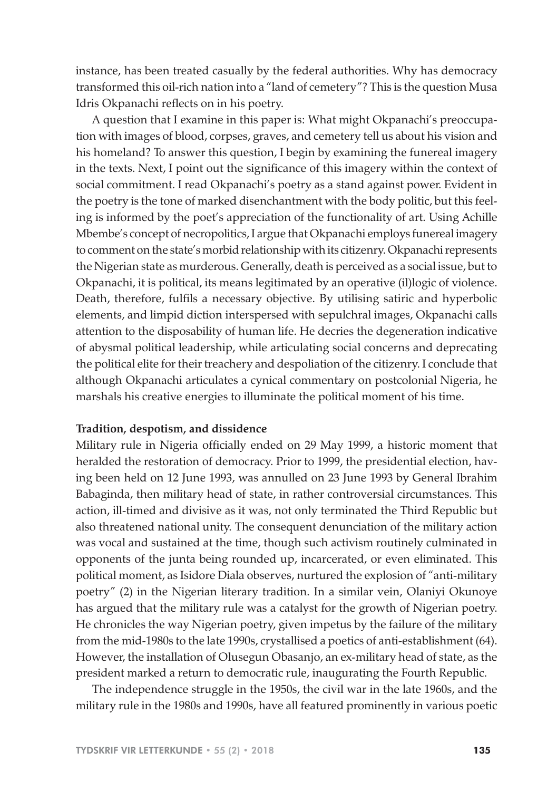instance, has been treated casually by the federal authorities. Why has democracy transformed this oil-rich nation into a "land of cemetery"? This is the question Musa Idris Okpanachi reflects on in his poetry.

A question that I examine in this paper is: What might Okpanachi's preoccupation with images of blood, corpses, graves, and cemetery tell us about his vision and his homeland? To answer this question, I begin by examining the funereal imagery in the texts. Next, I point out the significance of this imagery within the context of social commitment. I read Okpanachi's poetry as a stand against power. Evident in the poetry is the tone of marked disenchantment with the body politic, but this feeling is informed by the poet's appreciation of the functionality of art. Using Achille Mbembe's concept of necropolitics, I argue that Okpanachi employs funereal imagery to comment on the state's morbid relationship with its citizenry. Okpanachi represents the Nigerian state as murderous. Generally, death is perceived as a social issue, but to Okpanachi, it is political, its means legitimated by an operative (il)logic of violence. Death, therefore, fulfils a necessary objective. By utilising satiric and hyperbolic elements, and limpid diction interspersed with sepulchral images, Okpanachi calls attention to the disposability of human life. He decries the degeneration indicative of abysmal political leadership, while articulating social concerns and deprecating the political elite for their treachery and despoliation of the citizenry. I conclude that although Okpanachi articulates a cynical commentary on postcolonial Nigeria, he marshals his creative energies to illuminate the political moment of his time.

#### **Tradition, despotism, and dissidence**

Military rule in Nigeria officially ended on 29 May 1999, a historic moment that heralded the restoration of democracy. Prior to 1999, the presidential election, having been held on 12 June 1993, was annulled on 23 June 1993 by General Ibrahim Babaginda, then military head of state, in rather controversial circumstances. This action, ill-timed and divisive as it was, not only terminated the Third Republic but also threatened national unity. The consequent denunciation of the military action was vocal and sustained at the time, though such activism routinely culminated in opponents of the junta being rounded up, incarcerated, or even eliminated. This political moment, as Isidore Diala observes, nurtured the explosion of "anti-military poetry" (2) in the Nigerian literary tradition. In a similar vein, Olaniyi Okunoye has argued that the military rule was a catalyst for the growth of Nigerian poetry. He chronicles the way Nigerian poetry, given impetus by the failure of the military from the mid-1980s to the late 1990s, crystallised a poetics of anti-establishment (64). However, the installation of Olusegun Obasanjo, an ex-military head of state, as the president marked a return to democratic rule, inaugurating the Fourth Republic.

The independence struggle in the 1950s, the civil war in the late 1960s, and the military rule in the 1980s and 1990s, have all featured prominently in various poetic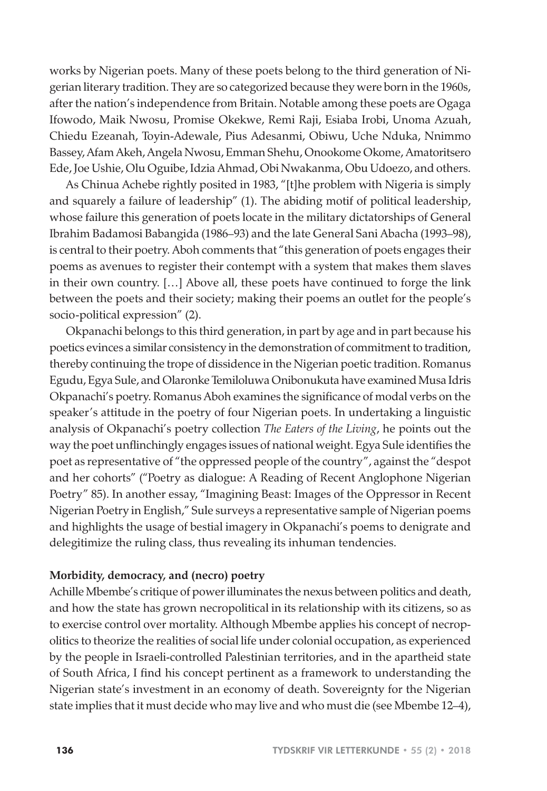works by Nigerian poets. Many of these poets belong to the third generation of Nigerian literary tradition. They are so categorized because they were born in the 1960s, after the nation's independence from Britain. Notable among these poets are Ogaga Ifowodo, Maik Nwosu, Promise Okekwe, Remi Raji, Esiaba Irobi, Unoma Azuah, Chiedu Ezeanah, Toyin-Adewale, Pius Adesanmi, Obiwu, Uche Nduka, Nnimmo Bassey, Afam Akeh, Angela Nwosu, Emman Shehu, Onookome Okome, Amatoritsero Ede, Joe Ushie, Olu Oguibe, Idzia Ahmad, Obi Nwakanma, Obu Udoezo, and others.

As Chinua Achebe rightly posited in 1983, "[t]he problem with Nigeria is simply and squarely a failure of leadership" (1). The abiding motif of political leadership, whose failure this generation of poets locate in the military dictatorships of General Ibrahim Badamosi Babangida (1986–93) and the late General Sani Abacha (1993–98), is central to their poetry. Aboh comments that "this generation of poets engages their poems as avenues to register their contempt with a system that makes them slaves in their own country. […] Above all, these poets have continued to forge the link between the poets and their society; making their poems an outlet for the people's socio-political expression" (2).

Okpanachi belongs to this third generation, in part by age and in part because his poetics evinces a similar consistency in the demonstration of commitment to tradition, thereby continuing the trope of dissidence in the Nigerian poetic tradition. Romanus Egudu, Egya Sule, and Olaronke Temiloluwa Onibonukuta have examined Musa Idris Okpanachi's poetry. Romanus Aboh examines the significance of modal verbs on the speaker's attitude in the poetry of four Nigerian poets. In undertaking a linguistic analysis of Okpanachi's poetry collection *The Eaters of the Living*, he points out the way the poet unflinchingly engages issues of national weight. Egya Sule identifies the poet as representative of "the oppressed people of the country", against the "despot and her cohorts" ("Poetry as dialogue: A Reading of Recent Anglophone Nigerian Poetry" 85). In another essay, "Imagining Beast: Images of the Oppressor in Recent Nigerian Poetry in English," Sule surveys a representative sample of Nigerian poems and highlights the usage of bestial imagery in Okpanachi's poems to denigrate and delegitimize the ruling class, thus revealing its inhuman tendencies.

# **Morbidity, democracy, and (necro) poetry**

Achille Mbembe's critique of power illuminates the nexus between politics and death, and how the state has grown necropolitical in its relationship with its citizens, so as to exercise control over mortality. Although Mbembe applies his concept of necropolitics to theorize the realities of social life under colonial occupation, as experienced by the people in Israeli-controlled Palestinian territories, and in the apartheid state of South Africa, I find his concept pertinent as a framework to understanding the Nigerian state's investment in an economy of death. Sovereignty for the Nigerian state implies that it must decide who may live and who must die (see Mbembe 12–4),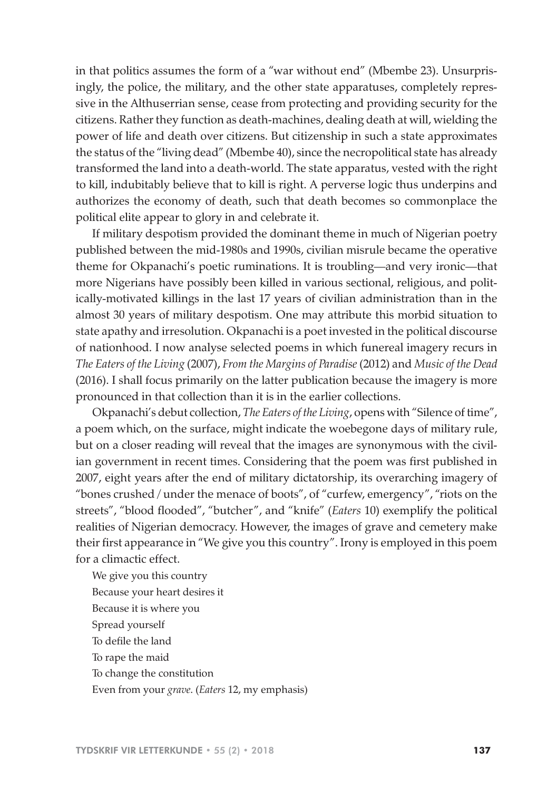in that politics assumes the form of a "war without end" (Mbembe 23). Unsurprisingly, the police, the military, and the other state apparatuses, completely repressive in the Althuserrian sense, cease from protecting and providing security for the citizens. Rather they function as death-machines, dealing death at will, wielding the power of life and death over citizens. But citizenship in such a state approximates the status of the "living dead" (Mbembe 40), since the necropolitical state has already transformed the land into a death-world. The state apparatus, vested with the right to kill, indubitably believe that to kill is right. A perverse logic thus underpins and authorizes the economy of death, such that death becomes so commonplace the political elite appear to glory in and celebrate it.

If military despotism provided the dominant theme in much of Nigerian poetry published between the mid-1980s and 1990s, civilian misrule became the operative theme for Okpanachi's poetic ruminations. It is troubling—and very ironic—that more Nigerians have possibly been killed in various sectional, religious, and politically-motivated killings in the last 17 years of civilian administration than in the almost 30 years of military despotism. One may attribute this morbid situation to state apathy and irresolution. Okpanachi is a poet invested in the political discourse of nationhood. I now analyse selected poems in which funereal imagery recurs in *The Eaters of the Living* (2007), *From the Margins of Paradise* (2012) and *Music of the Dead*  (2016). I shall focus primarily on the latter publication because the imagery is more pronounced in that collection than it is in the earlier collections.

Okpanachi's debut collection, *The Eaters of the Living*, opens with "Silence of time", a poem which, on the surface, might indicate the woebegone days of military rule, but on a closer reading will reveal that the images are synonymous with the civilian government in recent times. Considering that the poem was first published in 2007, eight years after the end of military dictatorship, its overarching imagery of "bones crushed / under the menace of boots", of "curfew, emergency", "riots on the streets", "blood flooded", "butcher", and "knife" (*Eaters* 10) exemplify the political realities of Nigerian democracy. However, the images of grave and cemetery make their first appearance in "We give you this country". Irony is employed in this poem for a climactic effect.

We give you this country Because your heart desires it Because it is where you Spread yourself To defile the land To rape the maid To change the constitution Even from your *grave*. (*Eaters* 12, my emphasis)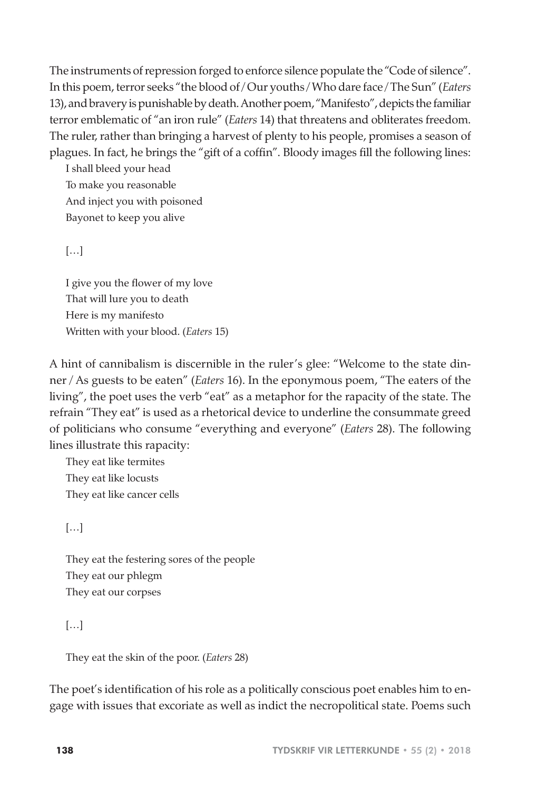The instruments of repression forged to enforce silence populate the "Code of silence". In this poem, terror seeks "the blood of / Our youths / Who dare face / The Sun" (*Eaters*  13), and bravery is punishable by death. Another poem, "Manifesto", depicts the familiar terror emblematic of "an iron rule" (*Eaters* 14) that threatens and obliterates freedom. The ruler, rather than bringing a harvest of plenty to his people, promises a season of plagues. In fact, he brings the "gift of a coffin". Bloody images fill the following lines:

I shall bleed your head To make you reasonable And inject you with poisoned Bayonet to keep you alive

[…]

I give you the flower of my love That will lure you to death Here is my manifesto Written with your blood. (*Eaters* 15)

A hint of cannibalism is discernible in the ruler's glee: "Welcome to the state dinner / As guests to be eaten" (*Eaters* 16). In the eponymous poem, "The eaters of the living", the poet uses the verb "eat" as a metaphor for the rapacity of the state. The refrain "They eat" is used as a rhetorical device to underline the consummate greed of politicians who consume "everything and everyone" (*Eaters* 28). The following lines illustrate this rapacity:

They eat like termites They eat like locusts They eat like cancer cells

 $[...]$ 

They eat the festering sores of the people They eat our phlegm They eat our corpses

[…]

They eat the skin of the poor. (*Eaters* 28)

The poet's identification of his role as a politically conscious poet enables him to engage with issues that excoriate as well as indict the necropolitical state. Poems such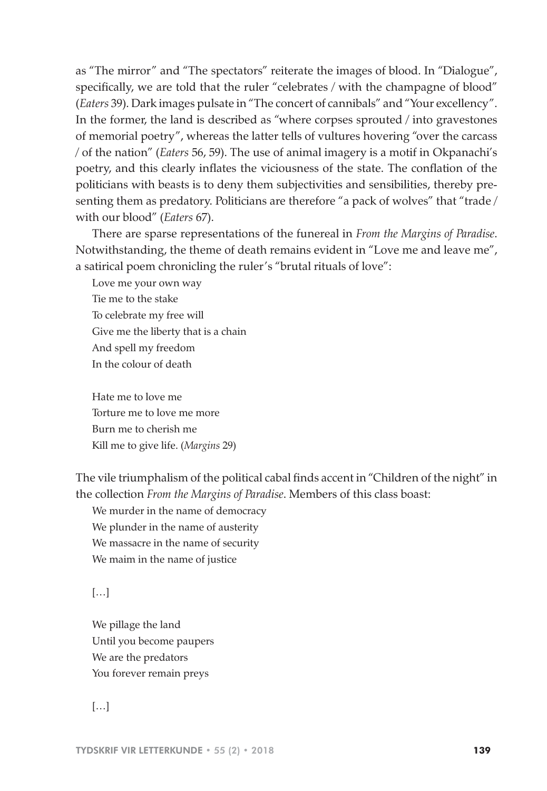as "The mirror" and "The spectators" reiterate the images of blood. In "Dialogue", specifically, we are told that the ruler "celebrates / with the champagne of blood" (*Eaters* 39). Dark images pulsate in "The concert of cannibals" and "Your excellency". In the former, the land is described as "where corpses sprouted / into gravestones of memorial poetry", whereas the latter tells of vultures hovering "over the carcass / of the nation" (*Eaters* 56, 59). The use of animal imagery is a motif in Okpanachi's poetry, and this clearly inflates the viciousness of the state. The conflation of the politicians with beasts is to deny them subjectivities and sensibilities, thereby presenting them as predatory. Politicians are therefore "a pack of wolves" that "trade / with our blood" (*Eaters* 67).

There are sparse representations of the funereal in *From the Margins of Paradise*. Notwithstanding, the theme of death remains evident in "Love me and leave me", a satirical poem chronicling the ruler's "brutal rituals of love":

Love me your own way Tie me to the stake To celebrate my free will Give me the liberty that is a chain And spell my freedom In the colour of death

Hate me to love me Torture me to love me more Burn me to cherish me Kill me to give life. (*Margins* 29)

The vile triumphalism of the political cabal finds accent in "Children of the night" in the collection *From the Margins of Paradise*. Members of this class boast:

We murder in the name of democracy We plunder in the name of austerity We massacre in the name of security We maim in the name of justice

 $[\ldots]$ 

We pillage the land Until you become paupers We are the predators You forever remain preys

 $[...]$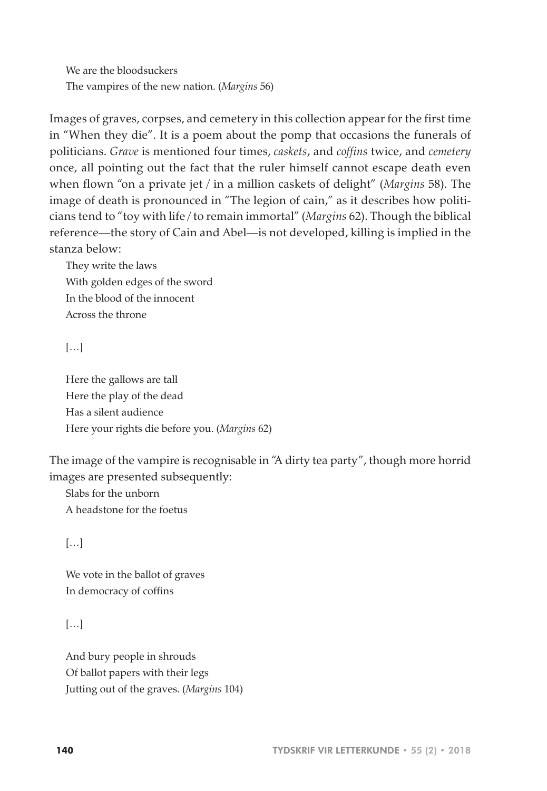We are the bloodsuckers The vampires of the new nation. (*Margins* 56)

Images of graves, corpses, and cemetery in this collection appear for the first time in "When they die". It is a poem about the pomp that occasions the funerals of politicians. *Grave* is mentioned four times, *caskets*, and *coffins* twice, and *cemetery* once, all pointing out the fact that the ruler himself cannot escape death even when flown "on a private jet / in a million caskets of delight" (*Margins* 58). The image of death is pronounced in "The legion of cain," as it describes how politicians tend to "toy with life / to remain immortal" (*Margins* 62). Though the biblical reference—the story of Cain and Abel—is not developed, killing is implied in the stanza below:

They write the laws With golden edges of the sword In the blood of the innocent Across the throne

[…]

Here the gallows are tall Here the play of the dead Has a silent audience Here your rights die before you. (*Margins* 62)

The image of the vampire is recognisable in "A dirty tea party", though more horrid images are presented subsequently:

Slabs for the unborn A headstone for the foetus

 $[...]$ 

We vote in the ballot of graves In democracy of coffins

[…]

And bury people in shrouds Of ballot papers with their legs Jutting out of the graves. (*Margins* 104)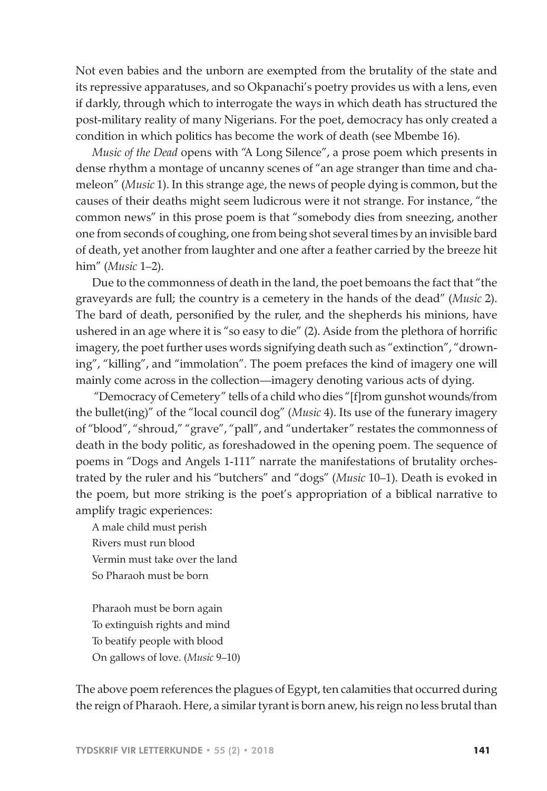Not even babies and the unborn are exempted from the brutality of the state and its repressive apparatuses, and so Okpanachi's poetry provides us with a lens, even if darkly, through which to interrogate the ways in which death has structured the post-military reality of many Nigerians. For the poet, democracy has only created a condition in which politics has become the work of death (see Mbembe 16).

*Music of the Dead* opens with "A Long Silence", a prose poem which presents in dense rhythm a montage of uncanny scenes of "an age stranger than time and chameleon" (*Music* 1). In this strange age, the news of people dying is common, but the causes of their deaths might seem ludicrous were it not strange. For instance, "the common news" in this prose poem is that "somebody dies from sneezing, another one from seconds of coughing, one from being shot several times by an invisible bard of death, yet another from laughter and one after a feather carried by the breeze hit him" (*Music* 1*–*2).

Due to the commonness of death in the land, the poet bemoans the fact that "the graveyards are full; the country is a cemetery in the hands of the dead" (*Music* 2). The bard of death, personified by the ruler, and the shepherds his minions, have ushered in an age where it is "so easy to die" (2). Aside from the plethora of horrific imagery, the poet further uses words signifying death such as "extinction", "drowning", "killing", and "immolation". The poem prefaces the kind of imagery one will mainly come across in the collection—imagery denoting various acts of dying.

 "Democracy of Cemetery" tells of a child who dies "[f]rom gunshot wounds/from the bullet(ing)" of the "local council dog" (*Music* 4). Its use of the funerary imagery of "blood", "shroud," "grave", "pall", and "undertaker" restates the commonness of death in the body politic, as foreshadowed in the opening poem. The sequence of poems in "Dogs and Angels 1-111" narrate the manifestations of brutality orchestrated by the ruler and his "butchers" and "dogs" (*Music* 10–1). Death is evoked in the poem, but more striking is the poet's appropriation of a biblical narrative to amplify tragic experiences:

A male child must perish Rivers must run blood Vermin must take over the land So Pharaoh must be born

Pharaoh must be born again To extinguish rights and mind To beatify people with blood On gallows of love. (*Music* 9–10)

The above poem references the plagues of Egypt, ten calamities that occurred during the reign of Pharaoh. Here, a similar tyrant is born anew, his reign no less brutal than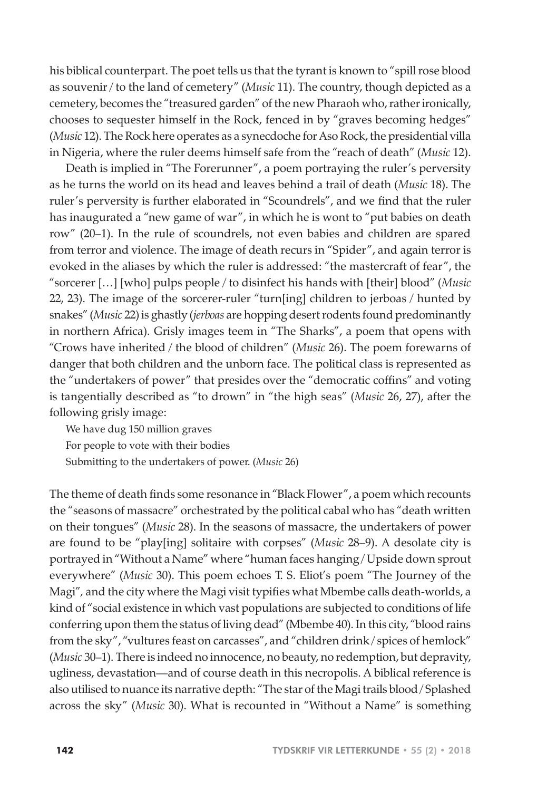his biblical counterpart. The poet tells us that the tyrant is known to "spill rose blood as souvenir / to the land of cemetery" (*Music* 11). The country, though depicted as a cemetery, becomes the "treasured garden" of the new Pharaoh who, rather ironically, chooses to sequester himself in the Rock, fenced in by "graves becoming hedges" (*Music* 12). The Rock here operates as a synecdoche for Aso Rock, the presidential villa in Nigeria, where the ruler deems himself safe from the "reach of death" (*Music* 12).

Death is implied in "The Forerunner", a poem portraying the ruler's perversity as he turns the world on its head and leaves behind a trail of death (*Music* 18). The ruler's perversity is further elaborated in "Scoundrels", and we find that the ruler has inaugurated a "new game of war", in which he is wont to "put babies on death row" (20–1). In the rule of scoundrels, not even babies and children are spared from terror and violence. The image of death recurs in "Spider", and again terror is evoked in the aliases by which the ruler is addressed: "the mastercraft of fear", the "sorcerer […] [who] pulps people / to disinfect his hands with [their] blood" (*Music*  22, 23). The image of the sorcerer-ruler "turn[ing] children to jerboas / hunted by snakes" (*Music* 22) is ghastly (*jerboas* are hopping desert rodents found predominantly in northern Africa). Grisly images teem in "The Sharks", a poem that opens with "Crows have inherited / the blood of children" (*Music* 26). The poem forewarns of danger that both children and the unborn face. The political class is represented as the "undertakers of power" that presides over the "democratic coffins" and voting is tangentially described as "to drown" in "the high seas" (*Music* 26, 27), after the following grisly image:

We have dug 150 million graves For people to vote with their bodies Submitting to the undertakers of power. (*Music* 26)

The theme of death finds some resonance in "Black Flower", a poem which recounts the "seasons of massacre" orchestrated by the political cabal who has "death written on their tongues" (*Music* 28). In the seasons of massacre, the undertakers of power are found to be "play[ing] solitaire with corpses" (*Music* 28–9). A desolate city is portrayed in "Without a Name" where "human faces hanging / Upside down sprout everywhere" (*Music* 30). This poem echoes T. S. Eliot's poem "The Journey of the Magi"*,* and the city where the Magi visit typifies what Mbembe calls death-worlds, a kind of "social existence in which vast populations are subjected to conditions of life conferring upon them the status of living dead" (Mbembe 40). In this city, "blood rains from the sky", "vultures feast on carcasses", and "children drink / spices of hemlock" (*Music* 30–1). There is indeed no innocence, no beauty, no redemption, but depravity, ugliness, devastation—and of course death in this necropolis. A biblical reference is also utilised to nuance its narrative depth: "The star of the Magi trails blood / Splashed across the sky" (*Music* 30). What is recounted in "Without a Name" is something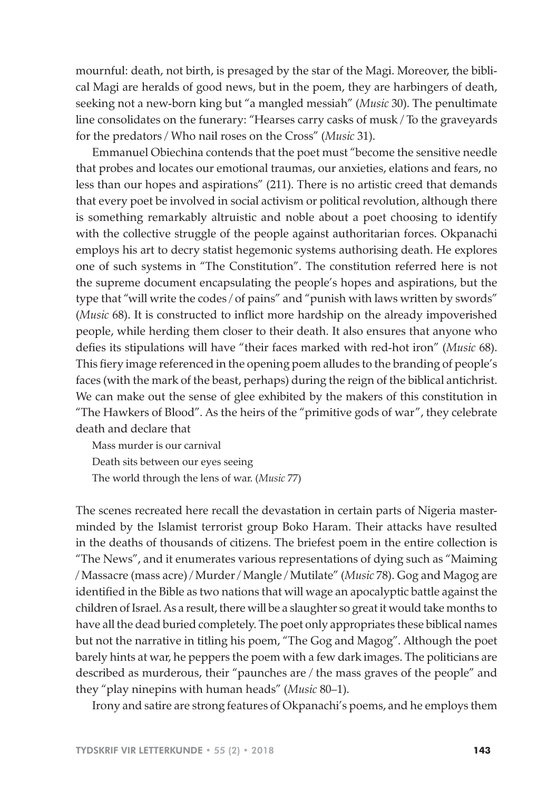mournful: death, not birth, is presaged by the star of the Magi. Moreover, the biblical Magi are heralds of good news, but in the poem, they are harbingers of death, seeking not a new-born king but "a mangled messiah" (*Music* 30). The penultimate line consolidates on the funerary: "Hearses carry casks of musk / To the graveyards for the predators / Who nail roses on the Cross" (*Music* 31).

Emmanuel Obiechina contends that the poet must "become the sensitive needle that probes and locates our emotional traumas, our anxieties, elations and fears, no less than our hopes and aspirations" (211). There is no artistic creed that demands that every poet be involved in social activism or political revolution, although there is something remarkably altruistic and noble about a poet choosing to identify with the collective struggle of the people against authoritarian forces. Okpanachi employs his art to decry statist hegemonic systems authorising death. He explores one of such systems in "The Constitution". The constitution referred here is not the supreme document encapsulating the people's hopes and aspirations, but the type that "will write the codes / of pains" and "punish with laws written by swords" (*Music* 68). It is constructed to inflict more hardship on the already impoverished people, while herding them closer to their death. It also ensures that anyone who defies its stipulations will have "their faces marked with red-hot iron" (*Music* 68). This fiery image referenced in the opening poem alludes to the branding of people's faces (with the mark of the beast, perhaps) during the reign of the biblical antichrist. We can make out the sense of glee exhibited by the makers of this constitution in "The Hawkers of Blood". As the heirs of the "primitive gods of war", they celebrate death and declare that

Mass murder is our carnival Death sits between our eyes seeing The world through the lens of war. (*Music* 77)

The scenes recreated here recall the devastation in certain parts of Nigeria masterminded by the Islamist terrorist group Boko Haram. Their attacks have resulted in the deaths of thousands of citizens. The briefest poem in the entire collection is "The News", and it enumerates various representations of dying such as "Maiming / Massacre (mass acre) / Murder / Mangle / Mutilate" (*Music* 78). Gog and Magog are identified in the Bible as two nations that will wage an apocalyptic battle against the children of Israel. As a result, there will be a slaughter so great it would take months to have all the dead buried completely. The poet only appropriates these biblical names but not the narrative in titling his poem, "The Gog and Magog". Although the poet barely hints at war, he peppers the poem with a few dark images. The politicians are described as murderous, their "paunches are / the mass graves of the people" and they "play ninepins with human heads" (*Music* 80–1).

Irony and satire are strong features of Okpanachi's poems, and he employs them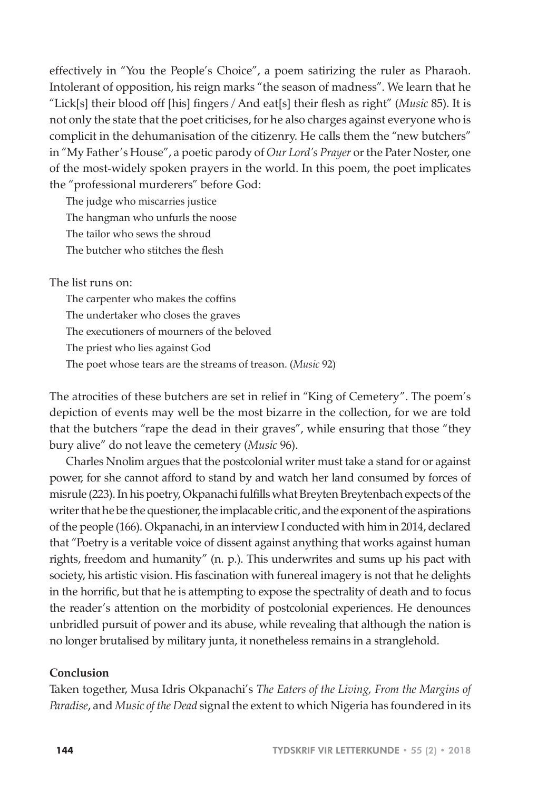effectively in "You the People's Choice", a poem satirizing the ruler as Pharaoh. Intolerant of opposition, his reign marks "the season of madness". We learn that he "Lick[s] their blood off [his] fingers / And eat[s] their flesh as right" (*Music* 85). It is not only the state that the poet criticises, for he also charges against everyone who is complicit in the dehumanisation of the citizenry. He calls them the "new butchers" in "My Father's House", a poetic parody of *Our Lord's Prayer* or the Pater Noster, one of the most-widely spoken prayers in the world. In this poem, the poet implicates the "professional murderers" before God:

The judge who miscarries justice The hangman who unfurls the noose The tailor who sews the shroud The butcher who stitches the flesh

The list runs on:

The carpenter who makes the coffins The undertaker who closes the graves The executioners of mourners of the beloved The priest who lies against God The poet whose tears are the streams of treason. (*Music* 92)

The atrocities of these butchers are set in relief in "King of Cemetery". The poem's depiction of events may well be the most bizarre in the collection, for we are told that the butchers "rape the dead in their graves", while ensuring that those "they bury alive" do not leave the cemetery (*Music* 96).

Charles Nnolim argues that the postcolonial writer must take a stand for or against power, for she cannot afford to stand by and watch her land consumed by forces of misrule (223). In his poetry, Okpanachi fulfills what Breyten Breytenbach expects of the writer that he be the questioner, the implacable critic, and the exponent of the aspirations of the people (166). Okpanachi, in an interview I conducted with him in 2014, declared that "Poetry is a veritable voice of dissent against anything that works against human rights, freedom and humanity" (n. p.). This underwrites and sums up his pact with society, his artistic vision. His fascination with funereal imagery is not that he delights in the horrific, but that he is attempting to expose the spectrality of death and to focus the reader's attention on the morbidity of postcolonial experiences. He denounces unbridled pursuit of power and its abuse, while revealing that although the nation is no longer brutalised by military junta, it nonetheless remains in a stranglehold.

# **Conclusion**

Taken together, Musa Idris Okpanachi's *The Eaters of the Living, From the Margins of Paradise*, and *Music of the Dead* signal the extent to which Nigeria has foundered in its